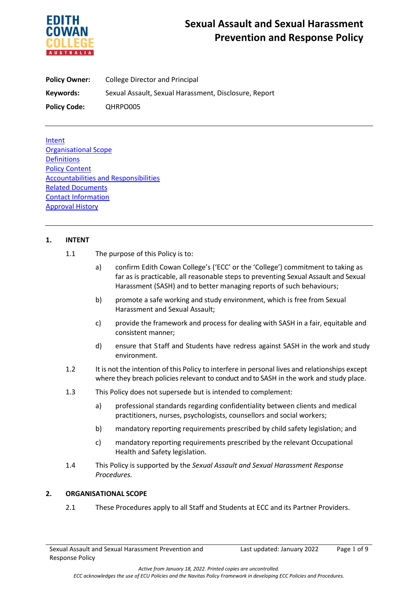

**Policy Owner:** College Director and Principal **Keywords:** Sexual Assault, Sexual Harassment, Disclosure, Report **Policy Code:** QHRPO005

**Intent** Organisational Scope **Definitions** Policy Content Accountabilities and Responsibilities Related Documents Contact Information Approval History

# **1. INTENT**

- 1.1 The purpose of this Policy is to:
	- a) confirm Edith Cowan College's ('ECC' or the 'College') commitment to taking as far as is practicable, all reasonable steps to preventing Sexual Assault and Sexual Harassment (SASH) and to better managing reports of such behaviours;
	- b) promote a safe working and study environment, which is free from Sexual Harassment and Sexual Assault;
	- c) provide the framework and process for dealing with SASH in a fair, equitable and consistent manner;
	- d) ensure that Staff and Students have redress against SASH in the work and study environment.
- 1.2 It is not the intention of this Policy to interfere in personal lives and relationships except where they breach policies relevant to conduct and to SASH in the work and study place.
- 1.3 This Policy does not supersede but is intended to complement:
	- a) professional standards regarding confidentiality between clients and medical practitioners, nurses, psychologists, counsellors and social workers;
	- b) mandatory reporting requirements prescribed by child safety legislation; and
	- c) mandatory reporting requirements prescribed by the relevant Occupational Health and Safety legislation.
- 1.4 This Policy is supported by the *Sexual Assault and Sexual Harassment Response Procedures.*

### **2. ORGANISATIONAL SCOPE**

2.1 These Procedures apply to all Staff and Students at ECC and its Partner Providers.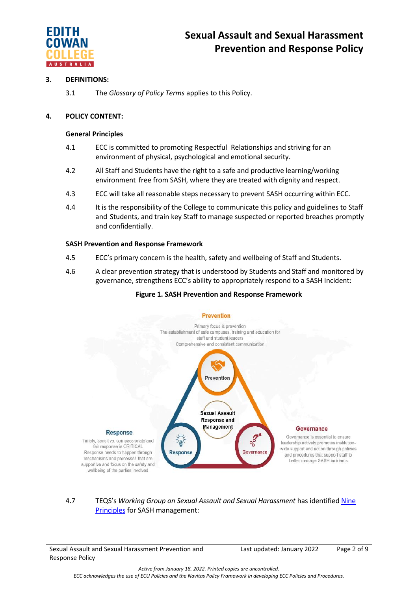

# **3. DEFINITIONS:**

3.1 The *Glossary of Policy Terms* applies to this Policy.

# **4. POLICY CONTENT:**

#### **General Principles**

- 4.1 ECC is committed to promoting Respectful Relationships and striving for an environment of physical, psychological and emotional security.
- 4.2 All Staff and Students have the right to a safe and productive learning/working environment free from SASH, where they are treated with dignity and respect.
- 4.3 ECC will take all reasonable steps necessary to prevent SASH occurring within ECC.
- 4.4 It is the responsibility of the College to communicate this policy and guidelines to Staff and Students, and train key Staff to manage suspected or reported breaches promptly and confidentially.

#### **SASH Prevention and Response Framework**

- 4.5 ECC's primary concern is the health, safety and wellbeing of Staff and Students.
- 4.6 A clear prevention strategy that is understood by Students and Staff and monitored by governance, strengthens ECC's ability to appropriately respond to a SASH Incident:

### **Figure 1. SASH Prevention and Response Framework**



4.7 TEQS's *Working Group on Sexual Assault and Sexual Harassment* has identified [Nine](https://www.teqsa.gov.au/sites/default/files/good-practice-note-preventing-responding-sexual-assault-sexual_harassment-v2-0-web.pdf?v=1626668840)  [Principles](https://www.teqsa.gov.au/sites/default/files/good-practice-note-preventing-responding-sexual-assault-sexual_harassment-v2-0-web.pdf?v=1626668840) for SASH management:

Sexual Assault and Sexual Harassment Prevention and Response Policy

Last updated: January 2022 Page 2 of 9

*Active from January 18, 2022. Printed copies are uncontrolled. ECC acknowledges the use of ECU Policies and the Navitas Policy Framework in developing ECC Policies and Procedures.*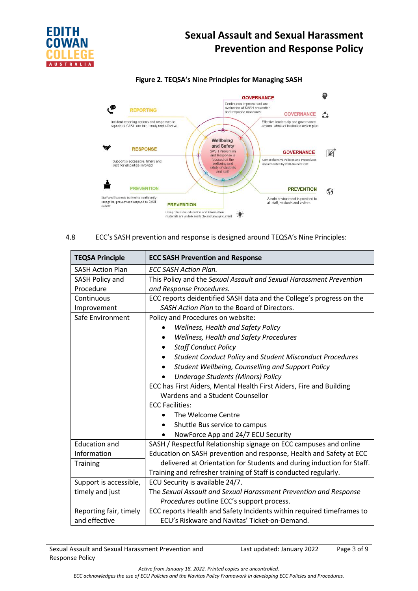

### **Figure 2. TEQSA's Nine Principles for Managing SASH**



4.8 ECC's SASH prevention and response is designed around TEQSA's Nine Principles:

| <b>TEQSA Principle</b>  | <b>ECC SASH Prevention and Response</b>                               |  |
|-------------------------|-----------------------------------------------------------------------|--|
| <b>SASH Action Plan</b> | <b>ECC SASH Action Plan.</b>                                          |  |
| SASH Policy and         | This Policy and the Sexual Assault and Sexual Harassment Prevention   |  |
| Procedure               | and Response Procedures.                                              |  |
| Continuous              | ECC reports deidentified SASH data and the College's progress on the  |  |
| Improvement             | SASH Action Plan to the Board of Directors.                           |  |
| Safe Environment        | Policy and Procedures on website:                                     |  |
|                         | Wellness, Health and Safety Policy                                    |  |
|                         | Wellness, Health and Safety Procedures                                |  |
|                         | <b>Staff Conduct Policy</b>                                           |  |
|                         | <b>Student Conduct Policy and Student Misconduct Procedures</b>       |  |
|                         | Student Wellbeing, Counselling and Support Policy                     |  |
|                         | <b>Underage Students (Minors) Policy</b>                              |  |
|                         | ECC has First Aiders, Mental Health First Aiders, Fire and Building   |  |
|                         | Wardens and a Student Counsellor                                      |  |
|                         | <b>ECC Facilities:</b>                                                |  |
|                         | The Welcome Centre                                                    |  |
|                         | Shuttle Bus service to campus                                         |  |
|                         | NowForce App and 24/7 ECU Security                                    |  |
| <b>Education and</b>    | SASH / Respectful Relationship signage on ECC campuses and online     |  |
| Information             | Education on SASH prevention and response, Health and Safety at ECC   |  |
| <b>Training</b>         | delivered at Orientation for Students and during induction for Staff. |  |
|                         | Training and refresher training of Staff is conducted regularly.      |  |
| Support is accessible,  | ECU Security is available 24/7.                                       |  |
| timely and just         | The Sexual Assault and Sexual Harassment Prevention and Response      |  |
|                         | Procedures outline ECC's support process.                             |  |
| Reporting fair, timely  | ECC reports Health and Safety Incidents within required timeframes to |  |
| and effective           | ECU's Riskware and Navitas' Ticket-on-Demand.                         |  |

Last updated: January 2022 Page 3 of 9

*Active from January 18, 2022. Printed copies are uncontrolled.*

*ECC acknowledges the use of ECU Policies and the Navitas Policy Framework in developing ECC Policies and Procedures.*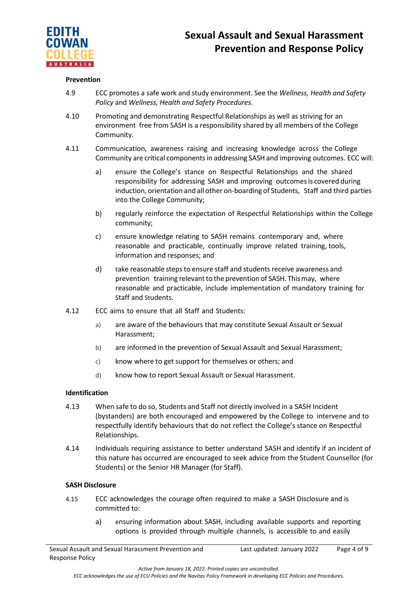

### **Prevention**

- 4.9 ECC promotes a safe work and study environment. See the *Wellness, Health and Safety Policy* and *Wellness, Health and Safety Procedures.*
- 4.10 Promoting and demonstrating Respectful Relationships as well as striving for an environment free from SASH is a responsibility shared by all members of the College Community.
- 4.11 Communication, awareness raising and increasing knowledge across the College Community are critical componentsin addressing SASH and improving outcomes. ECC will:
	- a) ensure the College's stance on Respectful Relationships and the shared responsibility for addressing SASH and improving outcomesis covered during induction, orientation and all other on-boarding of Students, Staff and third parties into the College Community;
	- b) regularly reinforce the expectation of Respectful Relationships within the College community;
	- c) ensure knowledge relating to SASH remains contemporary and, where reasonable and practicable, continually improve related training, tools, information and responses; and
	- d) take reasonable stepsto ensure staff and students receive awareness and prevention training relevant to the prevention of SASH. This may, where reasonable and practicable, include implementation of mandatory training for Staff and Students.
- 4.12 ECC aims to ensure that all Staff and Students:
	- a) are aware of the behaviours that may constitute Sexual Assault or Sexual Harassment;
	- b) are informed in the prevention of Sexual Assault and Sexual Harassment;
	- c) know where to get support for themselves or others; and
	- d) know how to report Sexual Assault or Sexual Harassment.

### **Identification**

- 4.13 When safe to do so, Students and Staff not directly involved in a SASH Incident (bystanders) are both encouraged and empowered by the College to intervene and to respectfully identify behaviours that do not reflect the College's stance on Respectful Relationships.
- 4.14 Individuals requiring assistance to better understand SASH and identify if an incident of this nature has occurred are encouraged to seek advice from the Student Counsellor (for Students) or the Senior HR Manager (for Staff).

### **SASH Disclosure**

- 4.15 ECC acknowledges the courage often required to make a SASH Disclosure and is committed to:
	- a) ensuring information about SASH, including available supports and reporting options is provided through multiple channels, is accessible to and easily

*Active from January 18, 2022. Printed copies are uncontrolled.*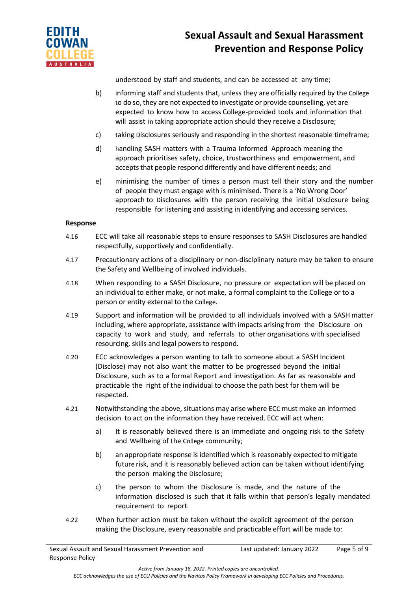

understood by staff and students, and can be accessed at any time;

- b) informing staff and students that, unless they are officially required by the College to do so, they are not expected to investigate or provide counselling, yet are expected to know how to access College-provided tools and information that will assist in taking appropriate action should they receive a Disclosure;
- c) taking Disclosures seriously and responding in the shortest reasonable timeframe;
- d) handling SASH matters with a Trauma Informed Approach meaning the approach prioritises safety, choice, trustworthiness and empowerment, and accepts that people respond differently and have different needs; and
- e) minimising the number of times a person must tell their story and the number of people they must engage with is minimised. There is a 'No Wrong Door' approach to Disclosures with the person receiving the initial Disclosure being responsible for listening and assisting in identifying and accessing services.

### **Response**

- 4.16 ECC will take all reasonable steps to ensure responses to SASH Disclosures are handled respectfully, supportively and confidentially.
- 4.17 Precautionary actions of a disciplinary or non-disciplinary nature may be taken to ensure the Safety and Wellbeing of involved individuals.
- 4.18 When responding to a SASH Disclosure, no pressure or expectation will be placed on an individual to either make, or not make, a formal complaint to the College or to a person or entity external to the College.
- 4.19 Support and information will be provided to all individuals involved with a SASH matter including, where appropriate, assistance with impacts arising from the Disclosure on capacity to work and study, and referrals to other organisations with specialised resourcing, skills and legal powers to respond.
- 4.20 ECC acknowledges a person wanting to talk to someone about a SASH Incident (Disclose) may not also want the matter to be progressed beyond the initial Disclosure, such as to a formal Report and investigation. As far as reasonable and practicable the right of the individual to choose the path best for them will be respected.
- 4.21 Notwithstanding the above, situations may arise where ECC must make an informed decision to act on the information they have received. ECC will act when:
	- a) It is reasonably believed there is an immediate and ongoing risk to the Safety and Wellbeing of the College community;
	- b) an appropriate response is identified which is reasonably expected to mitigate future risk, and it is reasonably believed action can be taken without identifying the person making the Disclosure;
	- c) the person to whom the Disclosure is made, and the nature of the information disclosed is such that it falls within that person's legally mandated requirement to report.
- 4.22 When further action must be taken without the explicit agreement of the person making the Disclosure, every reasonable and practicable effort will be made to:

*Active from January 18, 2022. Printed copies are uncontrolled.*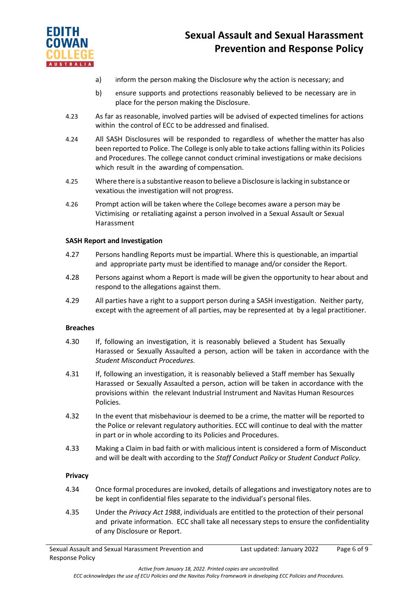

- a) inform the person making the Disclosure why the action is necessary; and
- b) ensure supports and protections reasonably believed to be necessary are in place for the person making the Disclosure.
- 4.23 As far as reasonable, involved parties will be advised of expected timelines for actions within the control of ECC to be addressed and finalised.
- 4.24 All SASH Disclosures will be responded to regardless of whetherthe matter has also been reported to Police. The College is only able to take actions falling within its Policies and Procedures. The college cannot conduct criminal investigations or make decisions which result in the awarding of compensation.
- 4.25 Where there is a substantive reason to believe a Disclosure is lacking in substance or vexatious the investigation will not progress.
- 4.26 Prompt action will be taken where the College becomes aware a person may be Victimising or retaliating against a person involved in a Sexual Assault or Sexual Harassment

#### **SASH Report and Investigation**

- 4.27 Persons handling Reports must be impartial. Where this is questionable, an impartial and appropriate party must be identified to manage and/or consider the Report.
- 4.28 Persons against whom a Report is made will be given the opportunity to hear about and respond to the allegations against them.
- 4.29 All parties have a right to a support person during a SASH investigation. Neither party, except with the agreement of all parties, may be represented at by a legal practitioner.

#### **Breaches**

- 4.30 If, following an investigation, it is reasonably believed a Student has Sexually Harassed or Sexually Assaulted a person, action will be taken in accordance with the *Student Misconduct Procedures.*
- 4.31 If, following an investigation, it is reasonably believed a Staff member has Sexually Harassed or Sexually Assaulted a person, action will be taken in accordance with the provisions within the relevant Industrial Instrument and Navitas Human Resources Policies.
- 4.32 In the event that misbehaviour is deemed to be a crime, the matter will be reported to the Police or relevant regulatory authorities. ECC will continue to deal with the matter in part or in whole according to its Policies and Procedures.
- 4.33 Making a Claim in bad faith or with malicious intent is considered a form of Misconduct and will be dealt with according to the *Staff Conduct Policy* or *Student Conduct Policy*.

### **Privacy**

- 4.34 Once formal procedures are invoked, details of allegations and investigatory notes are to be kept in confidential files separate to the individual's personal files.
- 4.35 Under the *Privacy Act 1988*, individuals are entitled to the protection of their personal and private information. ECC shall take all necessary steps to ensure the confidentiality of any Disclosure or Report.

*Active from January 18, 2022. Printed copies are uncontrolled.*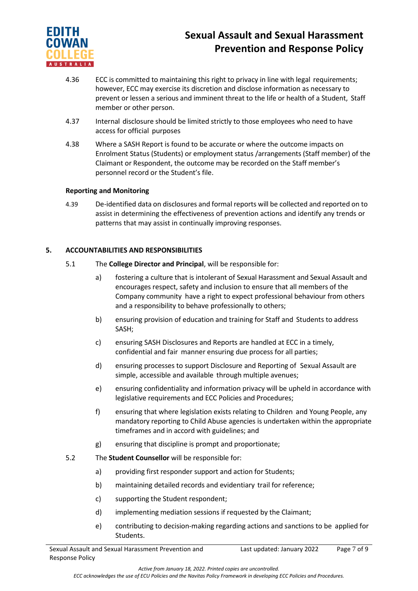

- 4.36 ECC is committed to maintaining this right to privacy in line with legal requirements; however, ECC may exercise its discretion and disclose information as necessary to prevent or lessen a serious and imminent threat to the life or health of a Student, Staff member or other person.
- 4.37 Internal disclosure should be limited strictly to those employees who need to have access for official purposes
- 4.38 Where a SASH Report is found to be accurate or where the outcome impacts on Enrolment Status (Students) or employment status /arrangements (Staff member) of the Claimant or Respondent, the outcome may be recorded on the Staff member's personnel record or the Student's file.

# **Reporting and Monitoring**

4.39 De-identified data on disclosures and formal reports will be collected and reported on to assist in determining the effectiveness of prevention actions and identify any trends or patterns that may assist in continually improving responses.

# **5. ACCOUNTABILITIES AND RESPONSIBILITIES**

- 5.1 The **College Director and Principal**, will be responsible for:
	- a) fostering a culture that is intolerant of Sexual Harassment and Sexual Assault and encourages respect, safety and inclusion to ensure that all members of the Company community have a right to expect professional behaviour from others and a responsibility to behave professionally to others;
	- b) ensuring provision of education and training for Staff and Students to address SASH;
	- c) ensuring SASH Disclosures and Reports are handled at ECC in a timely, confidential and fair manner ensuring due process for all parties;
	- d) ensuring processes to support Disclosure and Reporting of Sexual Assault are simple, accessible and available through multiple avenues;
	- e) ensuring confidentiality and information privacy will be upheld in accordance with legislative requirements and ECC Policies and Procedures;
	- f) ensuring that where legislation exists relating to Children and Young People, any mandatory reporting to Child Abuse agencies is undertaken within the appropriate timeframes and in accord with guidelines; and
	- g) ensuring that discipline is prompt and proportionate;
- 5.2 The **Student Counsellor** will be responsible for:
	- a) providing first responder support and action for Students;
	- b) maintaining detailed records and evidentiary trail for reference;
	- c) supporting the Student respondent;
	- d) implementing mediation sessions if requested by the Claimant;
	- e) contributing to decision-making regarding actions and sanctions to be applied for Students.

Last updated: January 2022 Page 7 of 9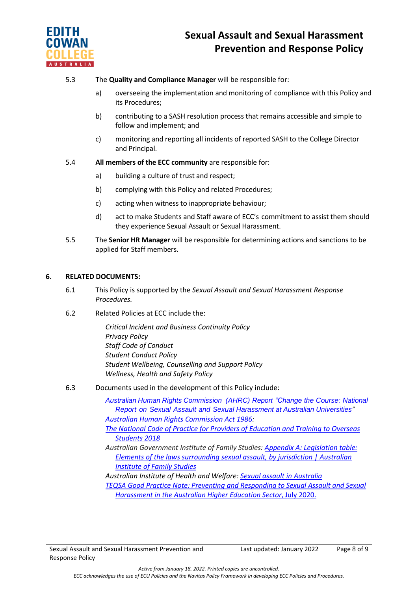

# 5.3 The **Quality and Compliance Manager** will be responsible for:

- a) overseeing the implementation and monitoring of compliance with this Policy and its Procedures;
- b) contributing to a SASH resolution process that remains accessible and simple to follow and implement; and
- c) monitoring and reporting all incidents of reported SASH to the College Director and Principal.
- 5.4 **All members of the ECC community** are responsible for:
	- a) building a culture of trust and respect;
	- b) complying with this Policy and related Procedures;
	- c) acting when witness to inappropriate behaviour;
	- d) act to make Students and Staff aware of ECC's commitment to assist them should they experience Sexual Assault or Sexual Harassment.
- 5.5 The **Senior HR Manager** will be responsible for determining actions and sanctions to be applied for Staff members.

# **6. RELATED DOCUMENTS:**

- 6.1 This Policy is supported by the *Sexual Assault and Sexual Harassment Response Procedures.*
- 6.2 Related Policies at ECC include the:

*Critical Incident and Business Continuity Policy Privacy Policy Staff Code of Conduct Student Conduct Policy Student Wellbeing, Counselling and Support Policy Wellness, Health and Safety Policy*

6.3 Documents used in the development of this Policy include:

*Australian Human Rights [Commission](https://humanrights.gov.au/our-work/sex-discrimination/publications/change-course-national-report-sexual-assault-and-sexual) (AHRC) Report "Change the Course: National Report on Sexual Assault and [Sexual Harassment](https://humanrights.gov.au/our-work/sex-discrimination/publications/change-course-national-report-sexual-assault-and-sexual) at Australian Universities" [Australian Human Rights Commission Act 1986:](https://www.legislation.gov.au/Details/C2019C00030)*

*[The National Code of Practice for Providers of Education and Training to Overseas](https://internationaleducation.gov.au/Regulatory-Information/Pages/National-)  [Students 2018](https://internationaleducation.gov.au/Regulatory-Information/Pages/National-)*

*Australian Government Institute of Family Studies: [Appendix A: Legislation table:](file://///navitas.local/UPA/ECC/Policies/ECC%20Policy%20Working%20Group%202021/19.%20Bullying,%20Harassment%20and%20Discrimination/SASH/aifs.gov.au)  [Elements of the laws surrounding sexual assault,](file://///navitas.local/UPA/ECC/Policies/ECC%20Policy%20Working%20Group%202021/19.%20Bullying,%20Harassment%20and%20Discrimination/SASH/aifs.gov.au) by jurisdiction | Australian [Institute of Family Studies](file://///navitas.local/UPA/ECC/Policies/ECC%20Policy%20Working%20Group%202021/19.%20Bullying,%20Harassment%20and%20Discrimination/SASH/aifs.gov.au)*

*Australian Institute of Health and Welfare: [Sexual assault in Australia](file://///navitas.local/UPA/ECC/Policies/ECC%20Policy%20Working%20Group%202021/19.%20Bullying,%20Harassment%20and%20Discrimination/SASH/aihw.gov.au) TEQSA Good Practice Note: Preventing and Responding to Sexual [Assault and](https://www.teqsa.gov.au/sites/default/files/good-practice-note-preventing-responding-sexual-assault-%20%20%20sexual_harassment.pdf?v=1594266369) Sexual [Harassment in](https://www.teqsa.gov.au/sites/default/files/good-practice-note-preventing-responding-sexual-assault-%20%20%20sexual_harassment.pdf?v=1594266369) the Australian Higher Education Sector*, July 2020.

Last updated: January 2022 Page 8 of 9